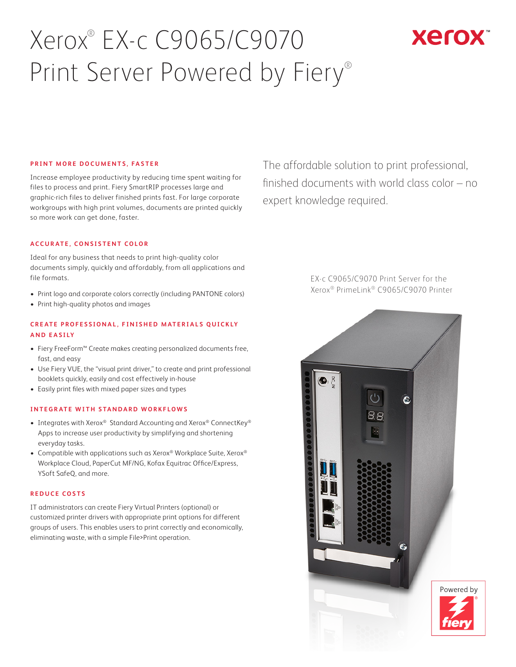# Xerox® EX-c C9065/C9070 Print Server Powered by Fiery®

## **Xerox**

#### **PRINT MORE DOCUMENTS, FASTER**

Increase employee productivity by reducing time spent waiting for files to process and print. Fiery SmartRIP processes large and graphic-rich files to deliver finished prints fast. For large corporate workgroups with high print volumes, documents are printed quickly so more work can get done, faster.

#### **ACCURATE, CONSISTENT COLOR**

Ideal for any business that needs to print high-quality color documents simply, quickly and affordably, from all applications and file formats.

- Print logo and corporate colors correctly (including PANTONE colors)
- Print high-quality photos and images

#### **CREATE PROFESSIONAL, FINISHED MATERIALS QUICKLY AND EASILY**

- Fiery FreeForm™ Create makes creating personalized documents free, fast, and easy
- Use Fiery VUE, the "visual print driver," to create and print professional booklets quickly, easily and cost effectively in-house
- Easily print files with mixed paper sizes and types

#### **INTEGRATE WITH STANDARD WORKFLOWS**

- Integrates with Xerox® Standard Accounting and Xerox® ConnectKey® Apps to increase user productivity by simplifying and shortening everyday tasks.
- Compatible with applications such as Xerox® Workplace Suite, Xerox® Workplace Cloud, PaperCut MF/NG, Kofax Equitrac Office/Express, YSoft SafeQ, and more.

#### **REDUCE COSTS**

IT administrators can create Fiery Virtual Printers (optional) or customized printer drivers with appropriate print options for different groups of users. This enables users to print correctly and economically, eliminating waste, with a simple File>Print operation.

The affordable solution to print professional, finished documents with world class color – no expert knowledge required.

> EX-c C9065/C9070 Print Server for the Xerox® PrimeLink® C9065/C9070 Printer